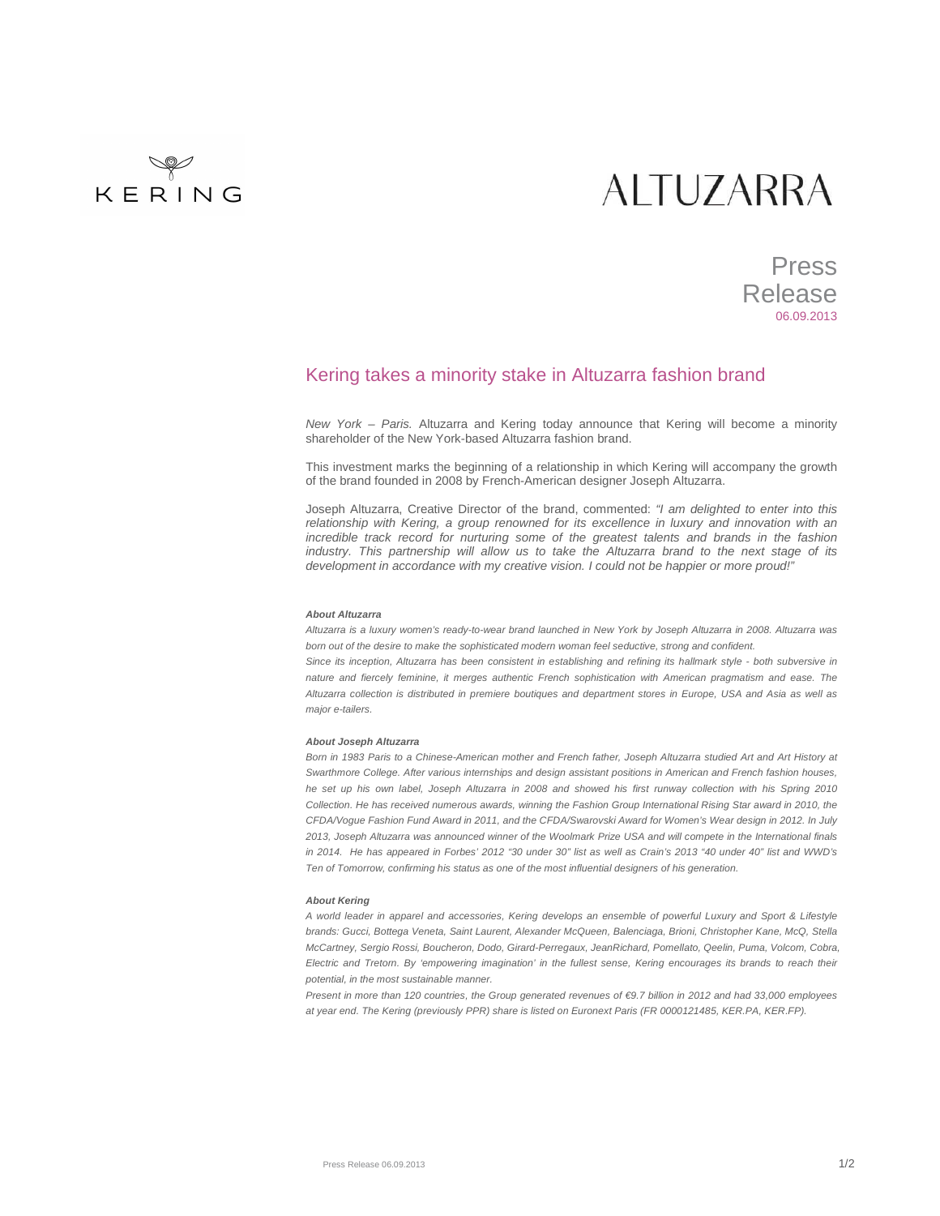# KERING

## **ALTUZARRA**

## Press Release 06.09.2013

### Kering takes a minority stake in Altuzarra fashion brand

New York – Paris. Altuzarra and Kering today announce that Kering will become a minority shareholder of the New York-based Altuzarra fashion brand.

This investment marks the beginning of a relationship in which Kering will accompany the growth of the brand founded in 2008 by French-American designer Joseph Altuzarra.

Joseph Altuzarra, Creative Director of the brand, commented: "I am delighted to enter into this relationship with Kering, a group renowned for its excellence in luxury and innovation with an incredible track record for nurturing some of the greatest talents and brands in the fashion industry. This partnership will allow us to take the Altuzarra brand to the next stage of its development in accordance with my creative vision. I could not be happier or more proud!"

#### **About Altuzarra**

Altuzarra is a luxury women's ready-to-wear brand launched in New York by Joseph Altuzarra in 2008. Altuzarra was born out of the desire to make the sophisticated modern woman feel seductive, strong and confident.

Since its inception, Altuzarra has been consistent in establishing and refining its hallmark style - both subversive in nature and fiercely feminine, it merges authentic French sophistication with American pragmatism and ease. The Altuzarra collection is distributed in premiere boutiques and department stores in Europe, USA and Asia as well as major e-tailers.

#### **About Joseph Altuzarra**

Born in 1983 Paris to a Chinese-American mother and French father, Joseph Altuzarra studied Art and Art History at Swarthmore College. After various internships and design assistant positions in American and French fashion houses, he set up his own label, Joseph Altuzarra in 2008 and showed his first runway collection with his Spring 2010 Collection. He has received numerous awards, winning the Fashion Group International Rising Star award in 2010, the CFDA/Vogue Fashion Fund Award in 2011, and the CFDA/Swarovski Award for Women's Wear design in 2012. In July 2013, Joseph Altuzarra was announced winner of the Woolmark Prize USA and will compete in the International finals in 2014. He has appeared in Forbes' 2012 "30 under 30" list as well as Crain's 2013 "40 under 40" list and WWD's Ten of Tomorrow, confirming his status as one of the most influential designers of his generation.

#### **About Kering**

A world leader in apparel and accessories, Kering develops an ensemble of powerful Luxury and Sport & Lifestyle brands: Gucci, Bottega Veneta, Saint Laurent, Alexander McQueen, Balenciaga, Brioni, Christopher Kane, McQ, Stella McCartney, Sergio Rossi, Boucheron, Dodo, Girard-Perregaux, JeanRichard, Pomellato, Qeelin, Puma, Volcom, Cobra, Electric and Tretorn. By 'empowering imagination' in the fullest sense, Kering encourages its brands to reach their potential, in the most sustainable manner.

Present in more than 120 countries, the Group generated revenues of €9.7 billion in 2012 and had 33,000 employees at year end. The Kering (previously PPR) share is listed on Euronext Paris (FR 0000121485, KER.PA, KER.FP).